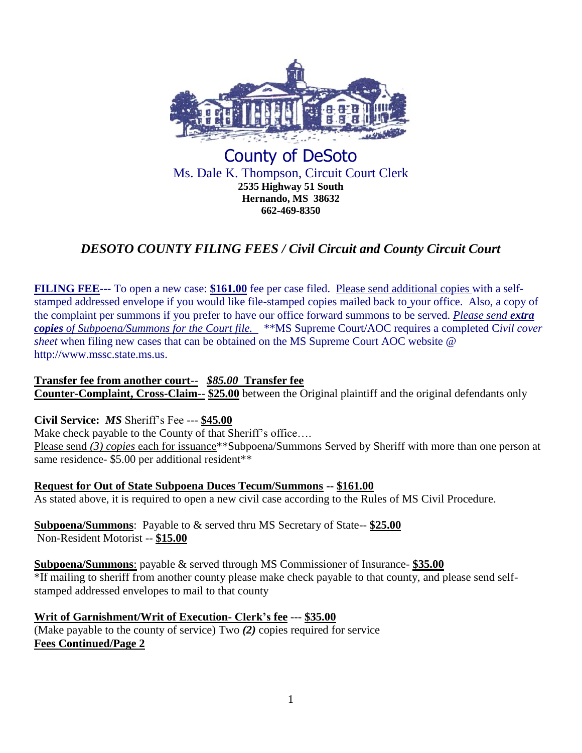

# County of DeSoto Ms. Dale K. Thompson, Circuit Court Clerk **2535 Highway 51 South Hernando, MS 38632 662-469-8350**

# *DESOTO COUNTY FILING FEES / Civil Circuit and County Circuit Court*

**FILING FEE---** To open a new case: \$161.00 fee per case filed. Please send additional copies with a selfstamped addressed envelope if you would like file-stamped copies mailed back to your office. Also, a copy of the complaint per summons if you prefer to have our office forward summons to be served. *Please send extra copies of Subpoena/Summons for the Court file.* \*\*MS Supreme Court/AOC requires a completed C*ivil cover sheet* when filing new cases that can be obtained on the MS Supreme Court AOC website @ http://www.mssc.state.ms.us.

**Transfer fee from another court**-- *\$85.00* **Transfer fee Counter-Complaint, Cross-Claim**-- **\$25.00** between the Original plaintiff and the original defendants only

## **Civil Service:** *MS* Sheriff's Fee --- **\$45.00**

Make check payable to the County of that Sheriff's office....

Please send (3) copies each for issuance\*\*Subpoena/Summons Served by Sheriff with more than one person at same residence- \$5.00 per additional resident\*\*

**Request for Out of State Subpoena Duces Tecum/Summons -- \$161.00** As stated above, it is required to open a new civil case according to the Rules of MS Civil Procedure.

**Subpoena/Summons**: Payable to & served thru MS Secretary of State-- **\$25.00**  Non-Resident Motorist -- **\$15.00** 

**Subpoena/Summons**: payable & served through MS Commissioner of Insurance- **\$35.00**  \*If mailing to sheriff from another county please make check payable to that county, and please send selfstamped addressed envelopes to mail to that county

**Writ of Garnishment/Writ of Execution- Clerk's fee** --- **\$35.00**  (Make payable to the county of service) Two *(2)* copies required for service **Fees Continued/Page 2**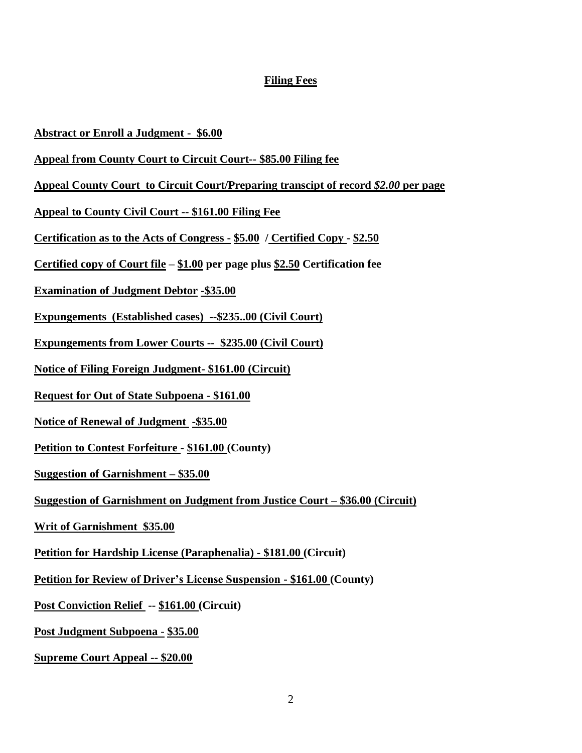## **Filing Fees**

#### **Abstract or Enroll a Judgment - \$6.00**

- **Appeal from County Court to Circuit Court-- \$85.00 Filing fee**
- **Appeal County Court to Circuit Court/Preparing transcipt of record** *\$2.00* **per page**
- **Appeal to County Civil Court -- \$161.00 Filing Fee**
- **Certification as to the Acts of Congress - \$5.00 / Certified Copy - \$2.50**
- **Certified copy of Court file – \$1.00 per page plus \$2.50 Certification fee**
- **Examination of Judgment Debtor -\$35.00**
- **Expungements (Established cases) --\$235..00 (Civil Court)**
- **Expungements from Lower Courts -- \$235.00 (Civil Court)**
- **Notice of Filing Foreign Judgment- \$161.00 (Circuit)**
- **Request for Out of State Subpoena - \$161.00**
- **Notice of Renewal of Judgment -\$35.00**
- **Petition to Contest Forfeiture - \$161.00 (County)**
- **Suggestion of Garnishment – \$35.00**
- **Suggestion of Garnishment on Judgment from Justice Court – \$36.00 (Circuit)**
- **Writ of Garnishment \$35.00**
- **Petition for Hardship License (Paraphenalia) - \$181.00 (Circuit)**
- **Petition for Review of Driver's License Suspension - \$161.00 (County)**
- **Post Conviction Relief -- \$161.00 (Circuit)**
- **Post Judgment Subpoena \$35.00**
- **Supreme Court Appeal -- \$20.00**